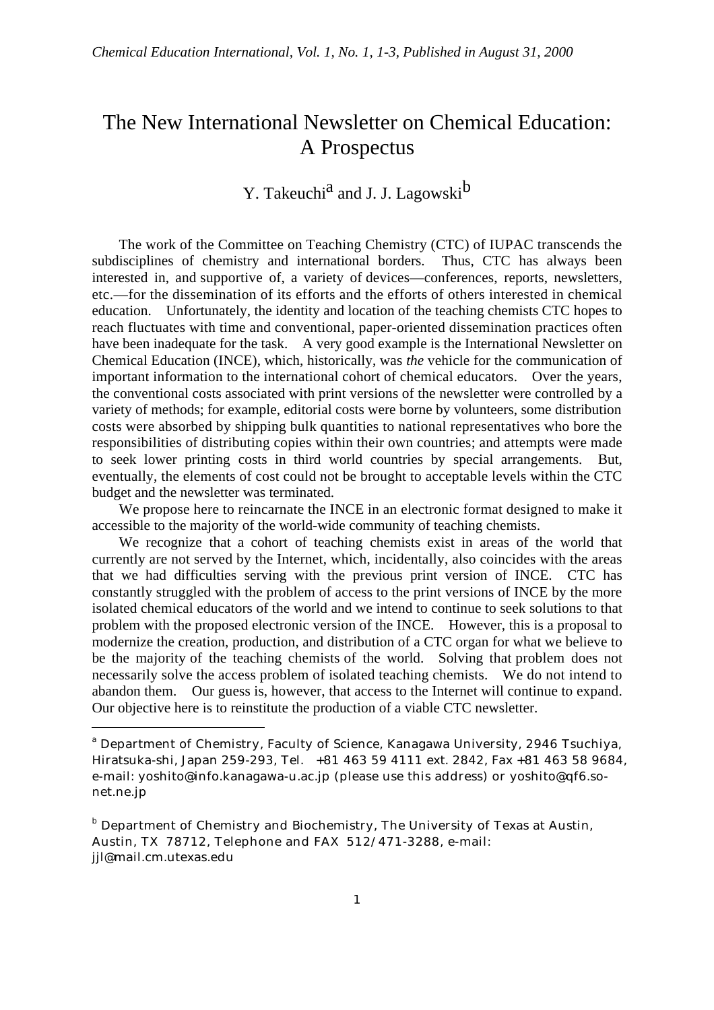# The New International Newsletter on Chemical Education: A Prospectus

# Y. Takeuchi<sup>a</sup> and J. J. Lagowski<sup>b</sup>

The work of the Committee on Teaching Chemistry (CTC) of IUPAC transcends the subdisciplines of chemistry and international borders. Thus, CTC has always been interested in, and supportive of, a variety of devices—conferences, reports, newsletters, etc.—for the dissemination of its efforts and the efforts of others interested in chemical education. Unfortunately, the identity and location of the teaching chemists CTC hopes to reach fluctuates with time and conventional, paper-oriented dissemination practices often have been inadequate for the task. A very good example is the International Newsletter on Chemical Education (INCE), which, historically, was *the* vehicle for the communication of important information to the international cohort of chemical educators. Over the years, the conventional costs associated with print versions of the newsletter were controlled by a variety of methods; for example, editorial costs were borne by volunteers, some distribution costs were absorbed by shipping bulk quantities to national representatives who bore the responsibilities of distributing copies within their own countries; and attempts were made to seek lower printing costs in third world countries by special arrangements. But, eventually, the elements of cost could not be brought to acceptable levels within the CTC budget and the newsletter was terminated.

We propose here to reincarnate the INCE in an electronic format designed to make it accessible to the majority of the world-wide community of teaching chemists.

We recognize that a cohort of teaching chemists exist in areas of the world that currently are not served by the Internet, which, incidentally, also coincides with the areas that we had difficulties serving with the previous print version of INCE. CTC has constantly struggled with the problem of access to the print versions of INCE by the more isolated chemical educators of the world and we intend to continue to seek solutions to that problem with the proposed electronic version of the INCE. However, this is a proposal to modernize the creation, production, and distribution of a CTC organ for what we believe to be the majority of the teaching chemists of the world. Solving that problem does not necessarily solve the access problem of isolated teaching chemists. We do not intend to abandon them. Our guess is, however, that access to the Internet will continue to expand. Our objective here is to reinstitute the production of a viable CTC newsletter.

-

<sup>&</sup>lt;sup>a</sup> Department of Chemistry, Faculty of Science, Kanagawa University, 2946 Tsuchiya, Hiratsuka-shi, Japan 259-293, Tel. +81 463 59 4111 ext. 2842, Fax +81 463 58 9684, e-mail: yoshito@info.kanagawa-u.ac.jp (please use this address) or yoshito@qf6.sonet.ne.jp

**b** Department of Chemistry and Biochemistry, The University of Texas at Austin, Austin, TX 78712, Telephone and FAX 512/471-3288, e-mail: jjl@mail.cm.utexas.edu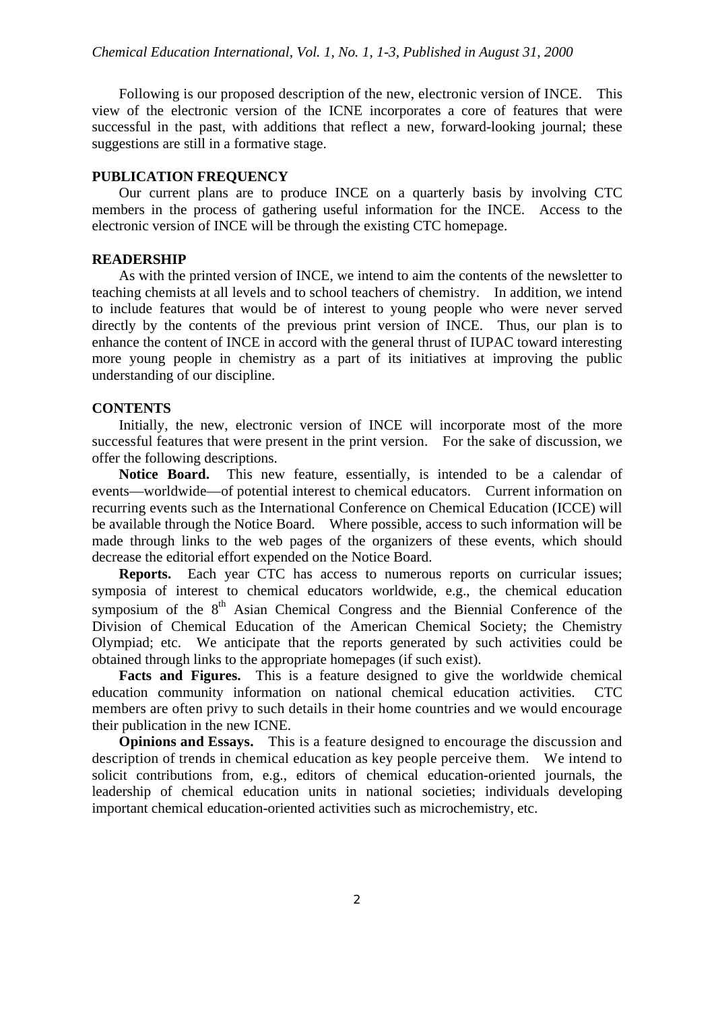Following is our proposed description of the new, electronic version of INCE. This view of the electronic version of the ICNE incorporates a core of features that were successful in the past, with additions that reflect a new, forward-looking journal; these suggestions are still in a formative stage.

# **PUBLICATION FREQUENCY**

Our current plans are to produce INCE on a quarterly basis by involving CTC members in the process of gathering useful information for the INCE. Access to the electronic version of INCE will be through the existing CTC homepage.

#### **READERSHIP**

As with the printed version of INCE, we intend to aim the contents of the newsletter to teaching chemists at all levels and to school teachers of chemistry. In addition, we intend to include features that would be of interest to young people who were never served directly by the contents of the previous print version of INCE. Thus, our plan is to enhance the content of INCE in accord with the general thrust of IUPAC toward interesting more young people in chemistry as a part of its initiatives at improving the public understanding of our discipline.

# **CONTENTS**

Initially, the new, electronic version of INCE will incorporate most of the more successful features that were present in the print version. For the sake of discussion, we offer the following descriptions.

**Notice Board.** This new feature, essentially, is intended to be a calendar of events—worldwide—of potential interest to chemical educators. Current information on recurring events such as the International Conference on Chemical Education (ICCE) will be available through the Notice Board. Where possible, access to such information will be made through links to the web pages of the organizers of these events, which should decrease the editorial effort expended on the Notice Board.

**Reports.** Each year CTC has access to numerous reports on curricular issues; symposia of interest to chemical educators worldwide, e.g., the chemical education symposium of the 8<sup>th</sup> Asian Chemical Congress and the Biennial Conference of the Division of Chemical Education of the American Chemical Society; the Chemistry Olympiad; etc. We anticipate that the reports generated by such activities could be obtained through links to the appropriate homepages (if such exist).

**Facts and Figures.** This is a feature designed to give the worldwide chemical education community information on national chemical education activities. CTC members are often privy to such details in their home countries and we would encourage their publication in the new ICNE.

**Opinions and Essays.** This is a feature designed to encourage the discussion and description of trends in chemical education as key people perceive them. We intend to solicit contributions from, e.g., editors of chemical education-oriented journals, the leadership of chemical education units in national societies; individuals developing important chemical education-oriented activities such as microchemistry, etc.